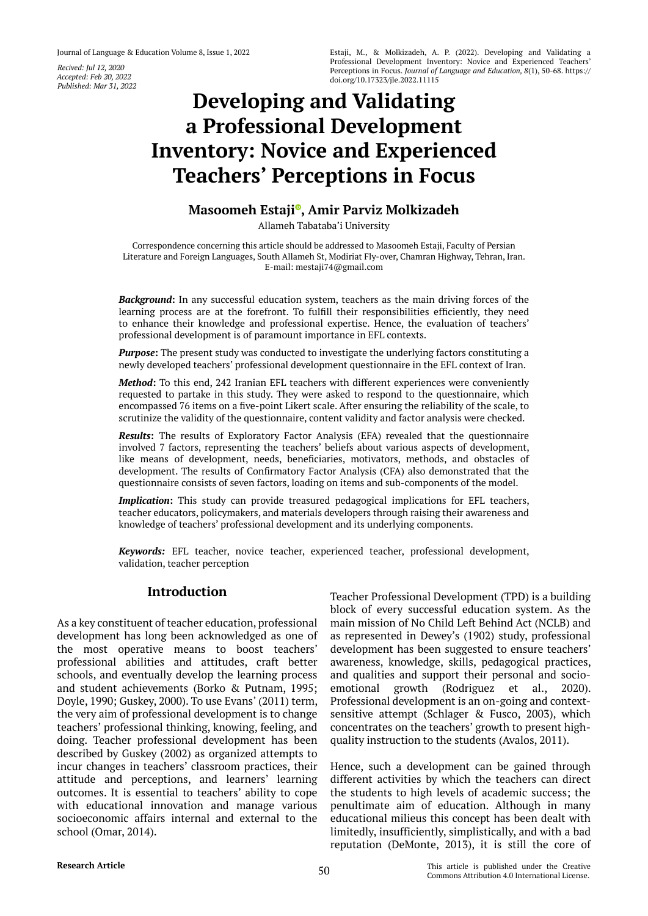*Recived: Jul 12, 2020 Accepted: Feb 20, 2022 Published: Mar 31, 2022*

# **Developing and Validating a Professional Development Inventory: Novice and Experienced Teachers' Perceptions in Focus**

## **Masoomeh Estaji [,](https://orcid.org/0000-0002-8014-9491) Amir Parviz Molkizadeh**

Allameh Tabataba'i University

Correspondence concerning this article should be addressed to Masoomeh Estaji, Faculty of Persian Literature and Foreign Languages, South Allameh St, Modiriat Fly-over, Chamran Highway, Tehran, Iran. E-mail: mestaji74@gmail.com

*Background***:** In any successful education system, teachers as the main driving forces of the learning process are at the forefront. To fulfill their responsibilities efficiently, they need to enhance their knowledge and professional expertise. Hence, the evaluation of teachers' professional development is of paramount importance in EFL contexts.

*Purpose***:** The present study was conducted to investigate the underlying factors constituting a newly developed teachers' professional development questionnaire in the EFL context of Iran.

*Method***:** To this end, 242 Iranian EFL teachers with different experiences were conveniently requested to partake in this study. They were asked to respond to the questionnaire, which encompassed 76 items on a five-point Likert scale. After ensuring the reliability of the scale, to scrutinize the validity of the questionnaire, content validity and factor analysis were checked.

**Results**: The results of Exploratory Factor Analysis (EFA) revealed that the questionnaire involved 7 factors, representing the teachers' beliefs about various aspects of development, like means of development, needs, beneficiaries, motivators, methods, and obstacles of development. The results of Confirmatory Factor Analysis (CFA) also demonstrated that the questionnaire consists of seven factors, loading on items and sub-components of the model.

*Implication***:** This study can provide treasured pedagogical implications for EFL teachers, teacher educators, policymakers, and materials developers through raising their awareness and knowledge of teachers' professional development and its underlying components.

*Keywords:* EFL teacher, novice teacher, experienced teacher, professional development, validation, teacher perception

## **Introduction**

As a key constituent of teacher education, professional development has long been acknowledged as one of the most operative means to boost teachers' professional abilities and attitudes, craft better schools, and eventually develop the learning process and student achievements (Borko & Putnam, 1995; Doyle, 1990; Guskey, 2000). To use Evans' (2011) term, the very aim of professional development is to change teachers' professional thinking, knowing, feeling, and doing. Teacher professional development has been described by Guskey (2002) as organized attempts to incur changes in teachers' classroom practices, their attitude and perceptions, and learners' learning outcomes. It is essential to teachers' ability to cope with educational innovation and manage various socioeconomic affairs internal and external to the school (Omar, 2014).

Teacher Professional Development (TPD) is a building block of every successful education system. As the main mission of No Child Left Behind Act (NCLB) and as represented in Dewey's (1902) study, professional development has been suggested to ensure teachers' awareness, knowledge, skills, pedagogical practices, and qualities and support their personal and socioemotional growth (Rodriguez et al., 2020). Professional development is an on-going and contextsensitive attempt (Schlager & Fusco, 2003), which concentrates on the teachers' growth to present highquality instruction to the students (Avalos, 2011).

Hence, such a development can be gained through different activities by which the teachers can direct the students to high levels of academic success; the penultimate aim of education. Although in many educational milieus this concept has been dealt with limitedly, insufficiently, simplistically, and with a bad reputation (DeMonte, 2013), it is still the core of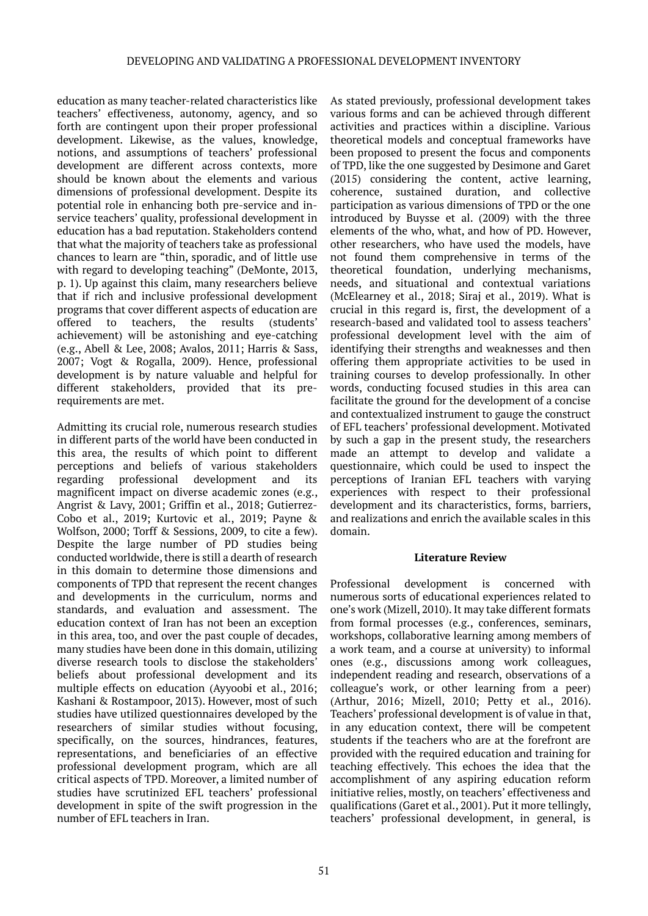education as many teacher-related characteristics like teachers' effectiveness, autonomy, agency, and so forth are contingent upon their proper professional development. Likewise, as the values, knowledge, notions, and assumptions of teachers' professional development are different across contexts, more should be known about the elements and various dimensions of professional development. Despite its potential role in enhancing both pre-service and inservice teachers' quality, professional development in education has a bad reputation. Stakeholders contend that what the majority of teachers take as professional chances to learn are "thin, sporadic, and of little use with regard to developing teaching" (DeMonte, 2013, p. 1). Up against this claim, many researchers believe that if rich and inclusive professional development programs that cover different aspects of education are offered to teachers, the results (students' achievement) will be astonishing and eye-catching (e.g., Abell & Lee, 2008; Avalos, 2011; Harris & Sass, 2007; Vogt & Rogalla, 2009). Hence, professional development is by nature valuable and helpful for different stakeholders, provided that its prerequirements are met.

Admitting its crucial role, numerous research studies in different parts of the world have been conducted in this area, the results of which point to different perceptions and beliefs of various stakeholders regarding professional development and its magnificent impact on diverse academic zones (e.g., Angrist & Lavy, 2001; Griffin et al., 2018; Gutierrez-Cobo et al., 2019; Kurtovic et al., 2019; Payne & Wolfson, 2000; Torff & Sessions, 2009, to cite a few). Despite the large number of PD studies being conducted worldwide, there is still a dearth of research in this domain to determine those dimensions and components of TPD that represent the recent changes and developments in the curriculum, norms and standards, and evaluation and assessment. The education context of Iran has not been an exception in this area, too, and over the past couple of decades, many studies have been done in this domain, utilizing diverse research tools to disclose the stakeholders' beliefs about professional development and its multiple effects on education (Ayyoobi et al., 2016; Kashani & Rostampoor, 2013). However, most of such studies have utilized questionnaires developed by the researchers of similar studies without focusing, specifically, on the sources, hindrances, features, representations, and beneficiaries of an effective professional development program, which are all critical aspects of TPD. Moreover, a limited number of studies have scrutinized EFL teachers' professional development in spite of the swift progression in the number of EFL teachers in Iran.

As stated previously, professional development takes various forms and can be achieved through different activities and practices within a discipline. Various theoretical models and conceptual frameworks have been proposed to present the focus and components of TPD, like the one suggested by Desimone and Garet (2015) considering the content, active learning, coherence, sustained duration, and collective participation as various dimensions of TPD or the one introduced by Buysse et al. (2009) with the three elements of the who, what, and how of PD. However, other researchers, who have used the models, have not found them comprehensive in terms of the theoretical foundation, underlying mechanisms, needs, and situational and contextual variations (McElearney et al., 2018; Siraj et al., 2019). What is crucial in this regard is, first, the development of a research-based and validated tool to assess teachers' professional development level with the aim of identifying their strengths and weaknesses and then offering them appropriate activities to be used in training courses to develop professionally. In other words, conducting focused studies in this area can facilitate the ground for the development of a concise and contextualized instrument to gauge the construct of EFL teachers' professional development. Motivated by such a gap in the present study, the researchers made an attempt to develop and validate a questionnaire, which could be used to inspect the perceptions of Iranian EFL teachers with varying experiences with respect to their professional development and its characteristics, forms, barriers, and realizations and enrich the available scales in this domain.

#### **Literature Review**

Professional development is concerned with numerous sorts of educational experiences related to one's work (Mizell, 2010). It may take different formats from formal processes (e.g., conferences, seminars, workshops, collaborative learning among members of a work team, and a course at university) to informal ones (e.g., discussions among work colleagues, independent reading and research, observations of a colleague's work, or other learning from a peer) (Arthur, 2016; Mizell, 2010; Petty et al., 2016). Teachers' professional development is of value in that, in any education context, there will be competent students if the teachers who are at the forefront are provided with the required education and training for teaching effectively. This echoes the idea that the accomplishment of any aspiring education reform initiative relies, mostly, on teachers' effectiveness and qualifications (Garet et al., 2001). Put it more tellingly, teachers' professional development, in general, is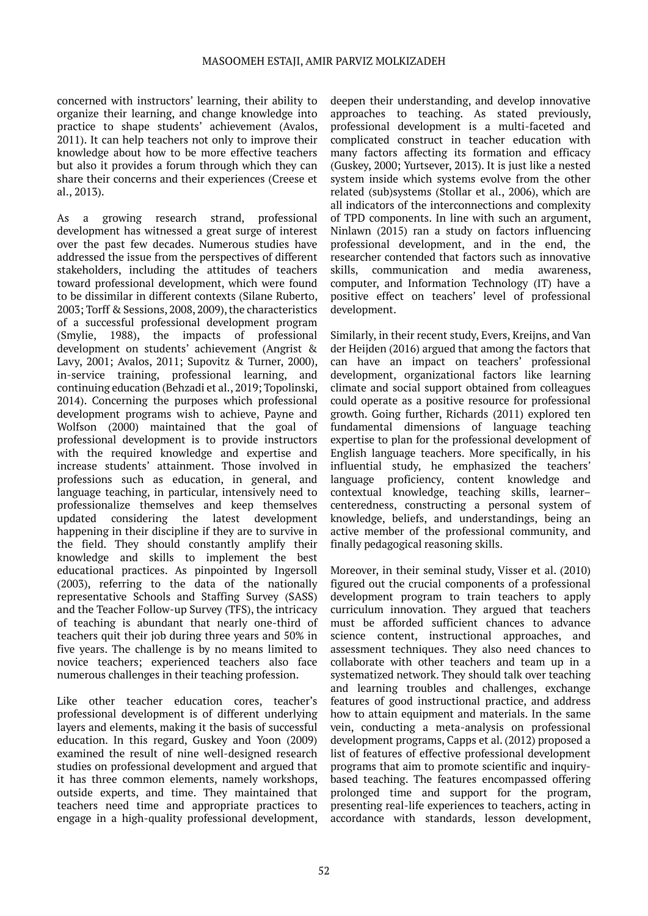concerned with instructors' learning, their ability to organize their learning, and change knowledge into practice to shape students' achievement (Avalos, 2011). It can help teachers not only to improve their knowledge about how to be more effective teachers but also it provides a forum through which they can share their concerns and their experiences (Creese et al., 2013).

As a growing research strand, professional development has witnessed a great surge of interest over the past few decades. Numerous studies have addressed the issue from the perspectives of different stakeholders, including the attitudes of teachers toward professional development, which were found to be dissimilar in different contexts (Silane Ruberto, 2003; Torff & Sessions, 2008, 2009), the characteristics of a successful professional development program (Smylie, 1988), the impacts of professional development on students' achievement (Angrist & Lavy, 2001; Avalos, 2011; Supovitz & Turner, 2000), in-service training, professional learning, and continuing education (Behzadi et al., 2019; Topolinski, 2014). Concerning the purposes which professional development programs wish to achieve, Payne and Wolfson (2000) maintained that the goal of professional development is to provide instructors with the required knowledge and expertise and increase students' attainment. Those involved in professions such as education, in general, and language teaching, in particular, intensively need to professionalize themselves and keep themselves updated considering the latest development happening in their discipline if they are to survive in the field. They should constantly amplify their knowledge and skills to implement the best educational practices. As pinpointed by Ingersoll (2003), referring to the data of the nationally representative Schools and Staffing Survey (SASS) and the Teacher Follow-up Survey (TFS), the intricacy of teaching is abundant that nearly one-third of teachers quit their job during three years and 50% in five years. The challenge is by no means limited to novice teachers; experienced teachers also face numerous challenges in their teaching profession.

Like other teacher education cores, teacher's professional development is of different underlying layers and elements, making it the basis of successful education. In this regard, Guskey and Yoon (2009) examined the result of nine well-designed research studies on professional development and argued that it has three common elements, namely workshops, outside experts, and time. They maintained that teachers need time and appropriate practices to engage in a high-quality professional development,

deepen their understanding, and develop innovative approaches to teaching. As stated previously, professional development is a multi-faceted and complicated construct in teacher education with many factors affecting its formation and efficacy (Guskey, 2000; Yurtsever, 2013). It is just like a nested system inside which systems evolve from the other related (sub)systems (Stollar et al., 2006), which are all indicators of the interconnections and complexity of TPD components. In line with such an argument, Ninlawn (2015) ran a study on factors influencing professional development, and in the end, the researcher contended that factors such as innovative skills, communication and media awareness, computer, and Information Technology (IT) have a positive effect on teachers' level of professional development.

Similarly, in their recent study, Evers, Kreijns, and Van der Heijden (2016) argued that among the factors that can have an impact on teachers' professional development, organizational factors like learning climate and social support obtained from colleagues could operate as a positive resource for professional growth. Going further, Richards (2011) explored ten fundamental dimensions of language teaching expertise to plan for the professional development of English language teachers. More specifically, in his influential study, he emphasized the teachers' language proficiency, content knowledge and contextual knowledge, teaching skills, learner– centeredness, constructing a personal system of knowledge, beliefs, and understandings, being an active member of the professional community, and finally pedagogical reasoning skills.

Moreover, in their seminal study, Visser et al. (2010) figured out the crucial components of a professional development program to train teachers to apply curriculum innovation. They argued that teachers must be afforded sufficient chances to advance science content, instructional approaches, and assessment techniques. They also need chances to collaborate with other teachers and team up in a systematized network. They should talk over teaching and learning troubles and challenges, exchange features of good instructional practice, and address how to attain equipment and materials. In the same vein, conducting a meta-analysis on professional development programs, Capps et al. (2012) proposed a list of features of effective professional development programs that aim to promote scientific and inquirybased teaching. The features encompassed offering prolonged time and support for the program, presenting real-life experiences to teachers, acting in accordance with standards, lesson development,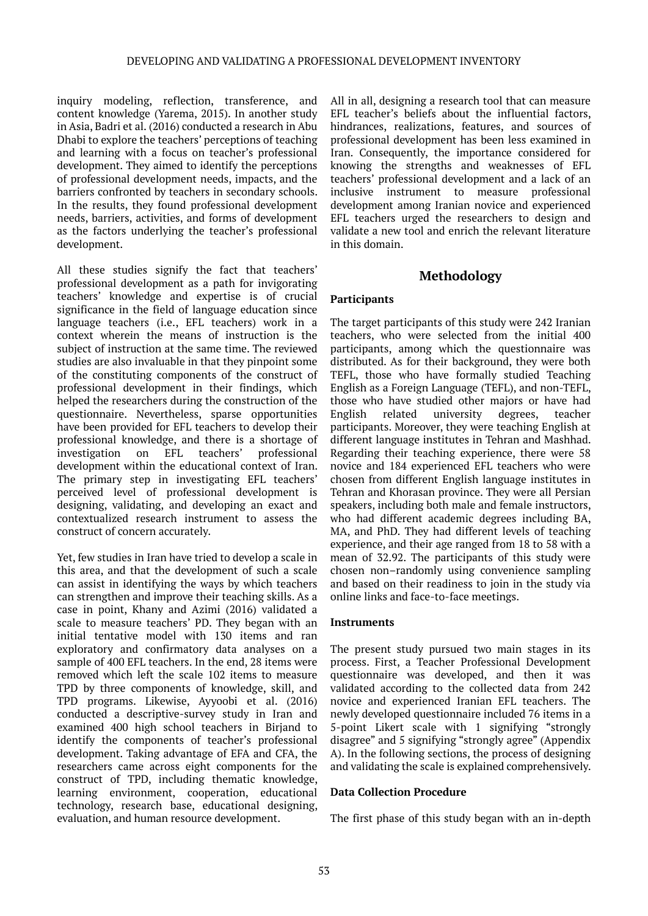inquiry modeling, reflection, transference, and content knowledge (Yarema, 2015). In another study in Asia, Badri et al. (2016) conducted a research in Abu Dhabi to explore the teachers' perceptions of teaching and learning with a focus on teacher's professional development. They aimed to identify the perceptions of professional development needs, impacts, and the barriers confronted by teachers in secondary schools. In the results, they found professional development needs, barriers, activities, and forms of development as the factors underlying the teacher's professional development.

All these studies signify the fact that teachers' professional development as a path for invigorating teachers' knowledge and expertise is of crucial significance in the field of language education since language teachers (i.e., EFL teachers) work in a context wherein the means of instruction is the subject of instruction at the same time. The reviewed studies are also invaluable in that they pinpoint some of the constituting components of the construct of professional development in their findings, which helped the researchers during the construction of the questionnaire. Nevertheless, sparse opportunities have been provided for EFL teachers to develop their professional knowledge, and there is a shortage of<br>investigation on EFL teachers' professional investigation on EFL teachers' professional development within the educational context of Iran. The primary step in investigating EFL teachers' perceived level of professional development is designing, validating, and developing an exact and contextualized research instrument to assess the construct of concern accurately.

Yet, few studies in Iran have tried to develop a scale in this area, and that the development of such a scale can assist in identifying the ways by which teachers can strengthen and improve their teaching skills. As a case in point, Khany and Azimi (2016) validated a scale to measure teachers' PD. They began with an initial tentative model with 130 items and ran exploratory and confirmatory data analyses on a sample of 400 EFL teachers. In the end, 28 items were removed which left the scale 102 items to measure TPD by three components of knowledge, skill, and TPD programs. Likewise, Ayyoobi et al. (2016) conducted a descriptive-survey study in Iran and examined 400 high school teachers in Birjand to identify the components of teacher's professional development. Taking advantage of EFA and CFA, the researchers came across eight components for the construct of TPD, including thematic knowledge, learning environment, cooperation, educational technology, research base, educational designing, evaluation, and human resource development.

All in all, designing a research tool that can measure EFL teacher's beliefs about the influential factors, hindrances, realizations, features, and sources of professional development has been less examined in Iran. Consequently, the importance considered for knowing the strengths and weaknesses of EFL teachers' professional development and a lack of an inclusive instrument to measure professional development among Iranian novice and experienced EFL teachers urged the researchers to design and validate a new tool and enrich the relevant literature in this domain.

#### **Methodology**

#### **Participants**

The target participants of this study were 242 Iranian teachers, who were selected from the initial 400 participants, among which the questionnaire was distributed. As for their background, they were both TEFL, those who have formally studied Teaching English as a Foreign Language (TEFL), and non-TEFL, those who have studied other majors or have had English related university degrees, teacher participants. Moreover, they were teaching English at different language institutes in Tehran and Mashhad. Regarding their teaching experience, there were 58 novice and 184 experienced EFL teachers who were chosen from different English language institutes in Tehran and Khorasan province. They were all Persian speakers, including both male and female instructors, who had different academic degrees including BA, MA, and PhD. They had different levels of teaching experience, and their age ranged from 18 to 58 with a mean of 32.92. The participants of this study were chosen non–randomly using convenience sampling and based on their readiness to join in the study via online links and face-to-face meetings.

#### **Instruments**

The present study pursued two main stages in its process. First, a Teacher Professional Development questionnaire was developed, and then it was validated according to the collected data from 242 novice and experienced Iranian EFL teachers. The newly developed questionnaire included 76 items in a 5-point Likert scale with 1 signifying "strongly disagree" and 5 signifying "strongly agree" (Appendix A). In the following sections, the process of designing and validating the scale is explained comprehensively.

#### **Data Collection Procedure**

The first phase of this study began with an in-depth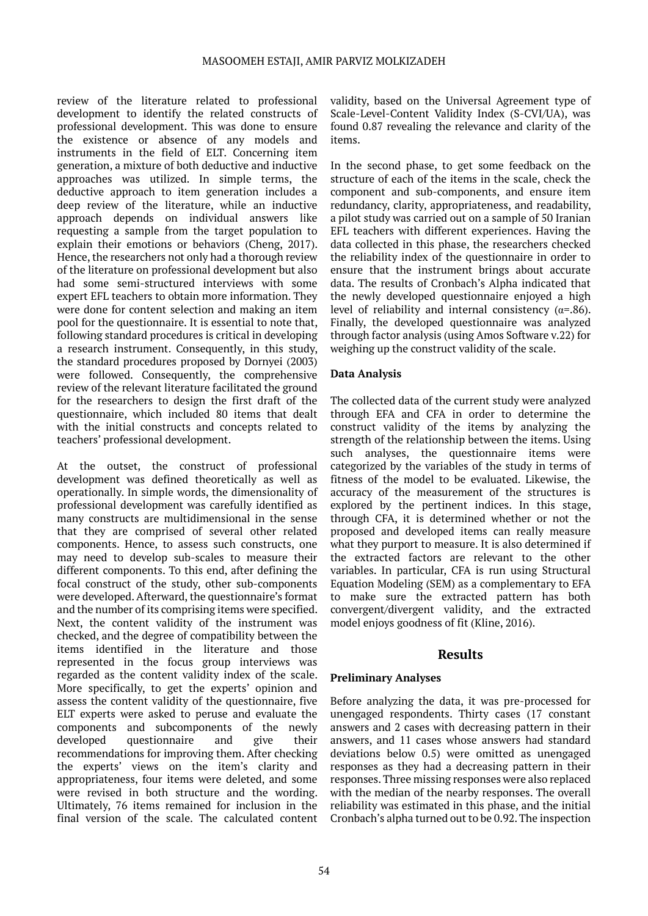review of the literature related to professional development to identify the related constructs of professional development. This was done to ensure the existence or absence of any models and instruments in the field of ELT. Concerning item generation, a mixture of both deductive and inductive approaches was utilized. In simple terms, the deductive approach to item generation includes a deep review of the literature, while an inductive approach depends on individual answers like requesting a sample from the target population to explain their emotions or behaviors (Cheng, 2017). Hence, the researchers not only had a thorough review of the literature on professional development but also had some semi-structured interviews with some expert EFL teachers to obtain more information. They were done for content selection and making an item pool for the questionnaire. It is essential to note that, following standard procedures is critical in developing a research instrument. Consequently, in this study, the standard procedures proposed by Dornyei (2003) were followed. Consequently, the comprehensive review of the relevant literature facilitated the ground for the researchers to design the first draft of the questionnaire, which included 80 items that dealt with the initial constructs and concepts related to teachers' professional development.

At the outset, the construct of professional development was defined theoretically as well as operationally. In simple words, the dimensionality of professional development was carefully identified as many constructs are multidimensional in the sense that they are comprised of several other related components. Hence, to assess such constructs, one may need to develop sub-scales to measure their different components. To this end, after defining the focal construct of the study, other sub-components were developed. Afterward, the questionnaire's format and the number of its comprising items were specified. Next, the content validity of the instrument was checked, and the degree of compatibility between the items identified in the literature and those represented in the focus group interviews was regarded as the content validity index of the scale. More specifically, to get the experts' opinion and assess the content validity of the questionnaire, five ELT experts were asked to peruse and evaluate the components and subcomponents of the newly developed questionnaire and give their developed questionnaire and give their recommendations for improving them. After checking the experts' views on the item's clarity and appropriateness, four items were deleted, and some were revised in both structure and the wording. Ultimately, 76 items remained for inclusion in the final version of the scale. The calculated content

validity, based on the Universal Agreement type of Scale-Level-Content Validity Index (S-CVI/UA), was found 0.87 revealing the relevance and clarity of the items.

In the second phase, to get some feedback on the structure of each of the items in the scale, check the component and sub-components, and ensure item redundancy, clarity, appropriateness, and readability, a pilot study was carried out on a sample of 50 Iranian EFL teachers with different experiences. Having the data collected in this phase, the researchers checked the reliability index of the questionnaire in order to ensure that the instrument brings about accurate data. The results of Cronbach's Alpha indicated that the newly developed questionnaire enjoyed a high level of reliability and internal consistency ( $\alpha$ =.86). Finally, the developed questionnaire was analyzed through factor analysis (using Amos Software v.22) for weighing up the construct validity of the scale.

#### **Data Analysis**

The collected data of the current study were analyzed through EFA and CFA in order to determine the construct validity of the items by analyzing the strength of the relationship between the items. Using such analyses, the questionnaire items were categorized by the variables of the study in terms of fitness of the model to be evaluated. Likewise, the accuracy of the measurement of the structures is explored by the pertinent indices. In this stage, through CFA, it is determined whether or not the proposed and developed items can really measure what they purport to measure. It is also determined if the extracted factors are relevant to the other variables. In particular, CFA is run using Structural Equation Modeling (SEM) as a complementary to EFA to make sure the extracted pattern has both convergent/divergent validity, and the extracted model enjoys goodness of fit (Kline, 2016).

#### **Results**

#### **Preliminary Analyses**

Before analyzing the data, it was pre-processed for unengaged respondents. Thirty cases (17 constant answers and 2 cases with decreasing pattern in their answers, and 11 cases whose answers had standard deviations below 0.5) were omitted as unengaged responses as they had a decreasing pattern in their responses. Three missing responses were also replaced with the median of the nearby responses. The overall reliability was estimated in this phase, and the initial Cronbach's alpha turned out to be 0.92. The inspection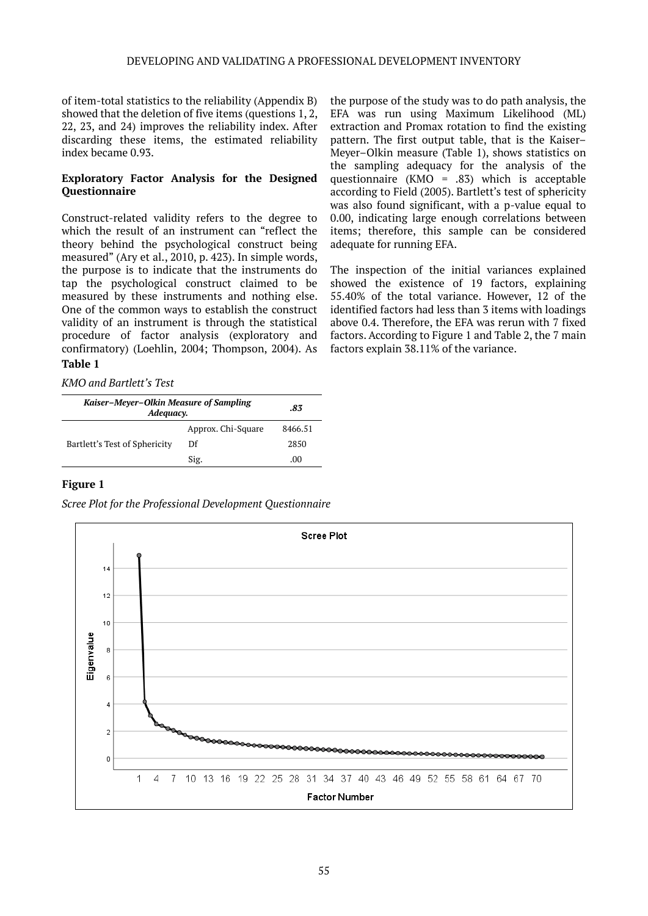of item-total statistics to the reliability (Appendix B) showed that the deletion of five items (questions 1, 2, 22, 23, and 24) improves the reliability index. After discarding these items, the estimated reliability index became 0.93.

#### **Exploratory Factor Analysis for the Designed Questionnaire**

Construct-related validity refers to the degree to which the result of an instrument can "reflect the theory behind the psychological construct being measured" (Ary et al., 2010, p. 423). In simple words, the purpose is to indicate that the instruments do tap the psychological construct claimed to be measured by these instruments and nothing else. One of the common ways to establish the construct validity of an instrument is through the statistical procedure of factor analysis (exploratory and confirmatory) (Loehlin, 2004; Thompson, 2004). As **Table 1**

the purpose of the study was to do path analysis, the EFA was run using Maximum Likelihood (ML) extraction and Promax rotation to find the existing pattern. The first output table, that is the Kaiser– Meyer–Olkin measure (Table 1), shows statistics on the sampling adequacy for the analysis of the questionnaire (KMO = .83) which is acceptable according to Field (2005). Bartlett's test of sphericity was also found significant, with a p*-*value equal to 0.00, indicating large enough correlations between items; therefore, this sample can be considered adequate for running EFA.

The inspection of the initial variances explained showed the existence of 19 factors, explaining 55.40% of the total variance. However, 12 of the identified factors had less than 3 items with loadings above 0.4. Therefore, the EFA was rerun with 7 fixed factors. According to Figure 1 and Table 2, the 7 main factors explain 38.11% of the variance.

*KMO and Bartlett's Test*

| Kaiser-Meyer-Olkin Measure of Sampling<br>Adequacy. | .83                |                  |
|-----------------------------------------------------|--------------------|------------------|
|                                                     | Approx. Chi-Square | 8466.51          |
| Bartlett's Test of Sphericity                       | Df                 | 2850             |
|                                                     | Sig.               | .00 <sub>1</sub> |

#### **Figure 1**

*Scree Plot for the Professional Development Questionnaire*

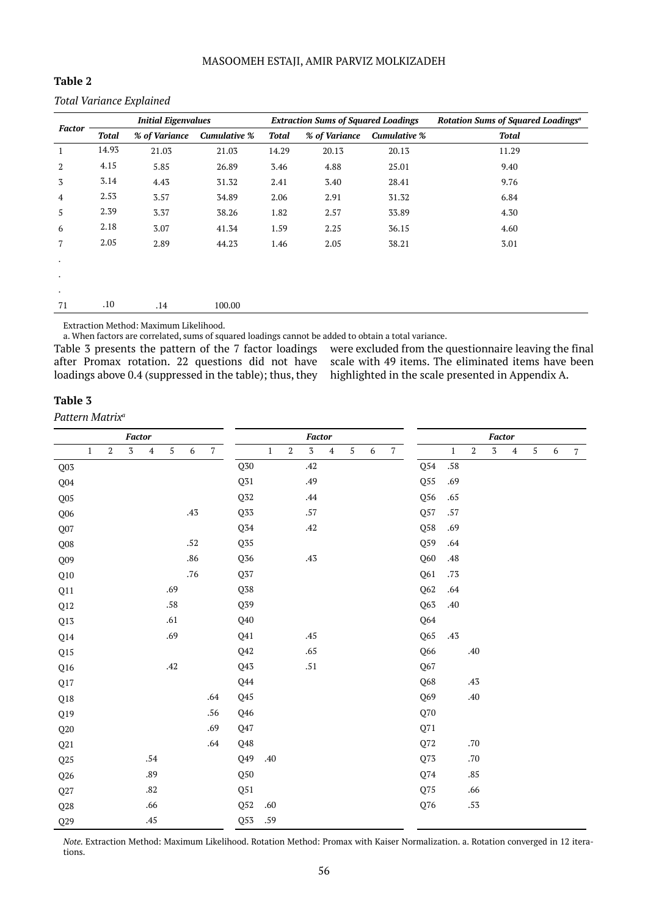| ıble<br>н |  |
|-----------|--|
|-----------|--|

#### *Total Variance Explained*

|                |              | <b>Initial Eigenvalues</b> |                     |              | <b>Extraction Sums of Squared Loadings</b> |                     | Rotation Sums of Squared Loadings <sup>a</sup> |  |  |
|----------------|--------------|----------------------------|---------------------|--------------|--------------------------------------------|---------------------|------------------------------------------------|--|--|
| <b>Factor</b>  | <b>Total</b> | % of Variance              | <b>Cumulative %</b> | <b>Total</b> | % of Variance                              | <b>Cumulative %</b> | <b>Total</b>                                   |  |  |
| $\mathbf{1}$   | 14.93        | 21.03                      | 21.03               | 14.29        | 20.13                                      | 20.13               | 11.29                                          |  |  |
| 2              | 4.15         | 5.85                       | 26.89               | 3.46         | 4.88                                       | 25.01               | 9.40                                           |  |  |
| 3              | 3.14         | 4.43                       | 31.32               | 2.41         | 3.40                                       | 28.41               | 9.76                                           |  |  |
| $\overline{4}$ | 2.53         | 3.57                       | 34.89               | 2.06         | 2.91                                       | 31.32               | 6.84                                           |  |  |
| 5              | 2.39         | 3.37                       | 38.26               | 1.82         | 2.57                                       | 33.89               | 4.30                                           |  |  |
| 6              | 2.18         | 3.07                       | 41.34               | 1.59         | 2.25                                       | 36.15               | 4.60                                           |  |  |
| $\overline{7}$ | 2.05         | 2.89                       | 44.23               | 1.46         | 2.05                                       | 38.21               | 3.01                                           |  |  |
| $\bullet$      |              |                            |                     |              |                                            |                     |                                                |  |  |
| $\bullet$      |              |                            |                     |              |                                            |                     |                                                |  |  |
| $\bullet$      |              |                            |                     |              |                                            |                     |                                                |  |  |
| 71             | .10          | .14                        | 100.00              |              |                                            |                     |                                                |  |  |

Extraction Method: Maximum Likelihood.

a. When factors are correlated, sums of squared loadings cannot be added to obtain a total variance.

Table 3 presents the pattern of the 7 factor loadings after Promax rotation. 22 questions did not have loadings above 0.4 (suppressed in the table); thus, they were excluded from the questionnaire leaving the final scale with 49 items. The eliminated items have been highlighted in the scale presented in Appendix A.

#### **Table 3**

*Pattern Matrixa*

|                 |              |       | <b>Factor</b> |                  |            |         |            |                          | Factor       |       |                    |           |            |                  |                |                |                    | <b>Factor</b> |             |                  |            |   |            |
|-----------------|--------------|-------|---------------|------------------|------------|---------|------------|--------------------------|--------------|-------|--------------------|-----------|------------|------------------|----------------|----------------|--------------------|---------------|-------------|------------------|------------|---|------------|
|                 | $\mathbf{1}$ | $\,2$ | $\sqrt{3}$    | $\boldsymbol{4}$ | $\sqrt{5}$ | 6       | $\sqrt{7}$ |                          | $\mathbf{1}$ | $\,2$ | $\sqrt{3}$         | $\pmb{4}$ | $\sqrt{5}$ | $\boldsymbol{6}$ | $\overline{7}$ |                | $\mathbf{1}$       | $\,2$         | $\mathbf 3$ | $\boldsymbol{4}$ | $\sqrt{5}$ | 6 | $\sqrt{7}$ |
| Q03             |              |       |               |                  |            |         |            | $\rm Q50$                |              |       | .42                |           |            |                  |                | $\mathrm{Q}54$ | $.58\,$            |               |             |                  |            |   |            |
| Q04             |              |       |               |                  |            |         |            | Q31                      |              |       | .49                |           |            |                  |                | Q55            | .69                |               |             |                  |            |   |            |
| Q05             |              |       |               |                  |            |         |            | $\mathbf{Q} \mathbf{32}$ |              |       | $.44\,$            |           |            |                  |                | Q56            | .65                |               |             |                  |            |   |            |
| Q06             |              |       |               |                  |            | .43     |            | Q33                      |              |       | $.57\,$            |           |            |                  |                | Q57            | $.57\,$            |               |             |                  |            |   |            |
| Q07             |              |       |               |                  |            |         |            | Q34                      |              |       | $.42\,$            |           |            |                  |                | Q58            | .69                |               |             |                  |            |   |            |
| Q <sub>08</sub> |              |       |               |                  |            | $.52\,$ |            | $\overline{\text{Q35}}$  |              |       |                    |           |            |                  |                | Q59            | $.64\,$            |               |             |                  |            |   |            |
| Q09             |              |       |               |                  |            | .86     |            | $\mathbb{Q}56$           |              |       | $\boldsymbol{.43}$ |           |            |                  |                | Q60            | $\boldsymbol{.48}$ |               |             |                  |            |   |            |
| Q10             |              |       |               |                  |            | .76     |            | $\mathbf{Q}37$           |              |       |                    |           |            |                  |                | Q61            | .73                |               |             |                  |            |   |            |
| Q11             |              |       |               |                  | .69        |         |            | Q38                      |              |       |                    |           |            |                  |                | Q62            | $.64\,$            |               |             |                  |            |   |            |
| Q12             |              |       |               |                  | $.58\,$    |         |            | Q39                      |              |       |                    |           |            |                  |                | Q63            | $.40$              |               |             |                  |            |   |            |
| Q13             |              |       |               |                  | .61        |         |            | Q40                      |              |       |                    |           |            |                  |                | Q64            |                    |               |             |                  |            |   |            |
| Q14             |              |       |               |                  | .69        |         |            | Q41                      |              |       | .45                |           |            |                  |                | Q65            | .43                |               |             |                  |            |   |            |
| Q15             |              |       |               |                  |            |         |            | Q42                      |              |       | .65                |           |            |                  |                | Q66            |                    | .40           |             |                  |            |   |            |
| Q16             |              |       |               |                  | .42        |         |            | Q43                      |              |       | $.51\,$            |           |            |                  |                | Q67            |                    |               |             |                  |            |   |            |
| Q17             |              |       |               |                  |            |         |            | Q44                      |              |       |                    |           |            |                  |                | Q68            |                    | $.43\,$       |             |                  |            |   |            |
| $\rm Q18$       |              |       |               |                  |            |         | .64        | Q45                      |              |       |                    |           |            |                  |                | Q69            |                    | $.40\,$       |             |                  |            |   |            |
| Q19             |              |       |               |                  |            |         | $.56\,$    | Q46                      |              |       |                    |           |            |                  |                | $\rm Q70$      |                    |               |             |                  |            |   |            |
| Q20             |              |       |               |                  |            |         | .69        | Q47                      |              |       |                    |           |            |                  |                | Q71            |                    |               |             |                  |            |   |            |
| Q21             |              |       |               |                  |            |         | $.64\,$    | Q48                      |              |       |                    |           |            |                  |                | $\mathbb{Q}72$ |                    | $.70\,$       |             |                  |            |   |            |
| Q25             |              |       |               | $.54\,$          |            |         |            | Q49                      | .40          |       |                    |           |            |                  |                | Q73            |                    | $.70\,$       |             |                  |            |   |            |
| Q26             |              |       |               | .89              |            |         |            | Q50                      |              |       |                    |           |            |                  |                | Q74            |                    | $.85\,$       |             |                  |            |   |            |
| Q27             |              |       |               | .82              |            |         |            | Q51                      |              |       |                    |           |            |                  |                | Q75            |                    | .66           |             |                  |            |   |            |
| $\mathbf{Q}28$  |              |       |               | .66              |            |         |            | $\mathtt{Q52}$           | .60          |       |                    |           |            |                  |                | Q76            |                    | $.53\,$       |             |                  |            |   |            |
| $\mathbb{Q}29$  |              |       |               | .45              |            |         |            | Q53                      | .59          |       |                    |           |            |                  |                |                |                    |               |             |                  |            |   |            |

*Note.* Extraction Method: Maximum Likelihood. Rotation Method: Promax with Kaiser Normalization. a. Rotation converged in 12 iterations.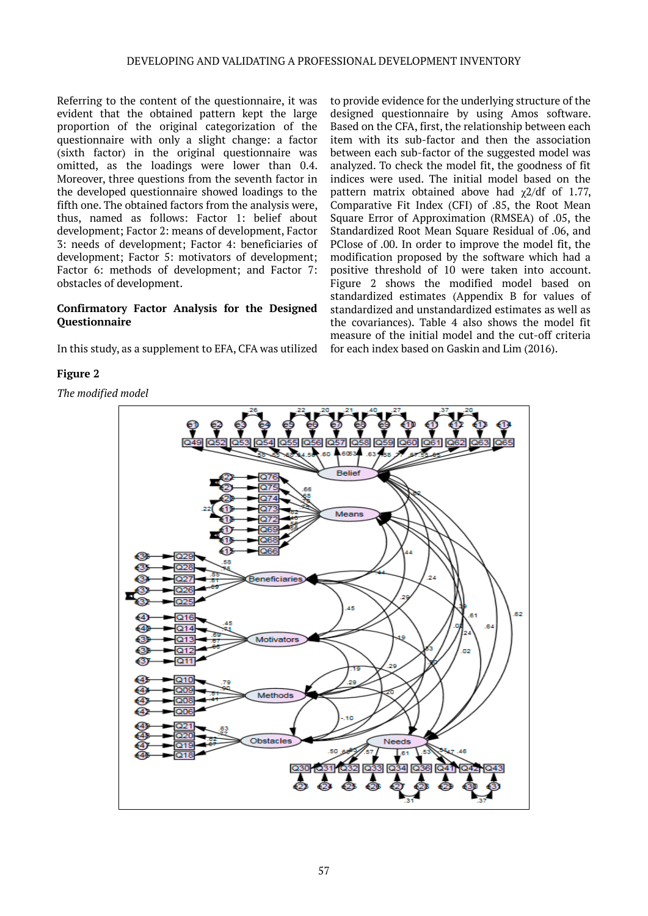Referring to the content of the questionnaire, it was evident that the obtained pattern kept the large proportion of the original categorization of the questionnaire with only a slight change: a factor (sixth factor) in the original questionnaire was omitted, as the loadings were lower than 0.4. Moreover, three questions from the seventh factor in the developed questionnaire showed loadings to the fifth one. The obtained factors from the analysis were, thus, named as follows: Factor 1: belief about development; Factor 2: means of development, Factor 3: needs of development; Factor 4: beneficiaries of development; Factor 5: motivators of development; Factor 6: methods of development; and Factor 7: obstacles of development.

#### **Confirmatory Factor Analysis for the Designed Questionnaire**

In this study, as a supplement to EFA, CFA was utilized

#### **Figure 2**

*The modified model*

to provide evidence for the underlying structure of the designed questionnaire by using Amos software. Based on the CFA, first, the relationship between each item with its sub-factor and then the association between each sub-factor of the suggested model was analyzed. To check the model fit, the goodness of fit indices were used. The initial model based on the pattern matrix obtained above had  $\gamma$ 2/df of 1.77, Comparative Fit Index (CFI) of .85, the Root Mean Square Error of Approximation (RMSEA) of .05, the Standardized Root Mean Square Residual of .06, and PClose of .00. In order to improve the model fit, the modification proposed by the software which had a positive threshold of 10 were taken into account. Figure 2 shows the modified model based on standardized estimates (Appendix B for values of standardized and unstandardized estimates as well as the covariances). Table 4 also shows the model fit measure of the initial model and the cut-off criteria for each index based on Gaskin and Lim (2016).

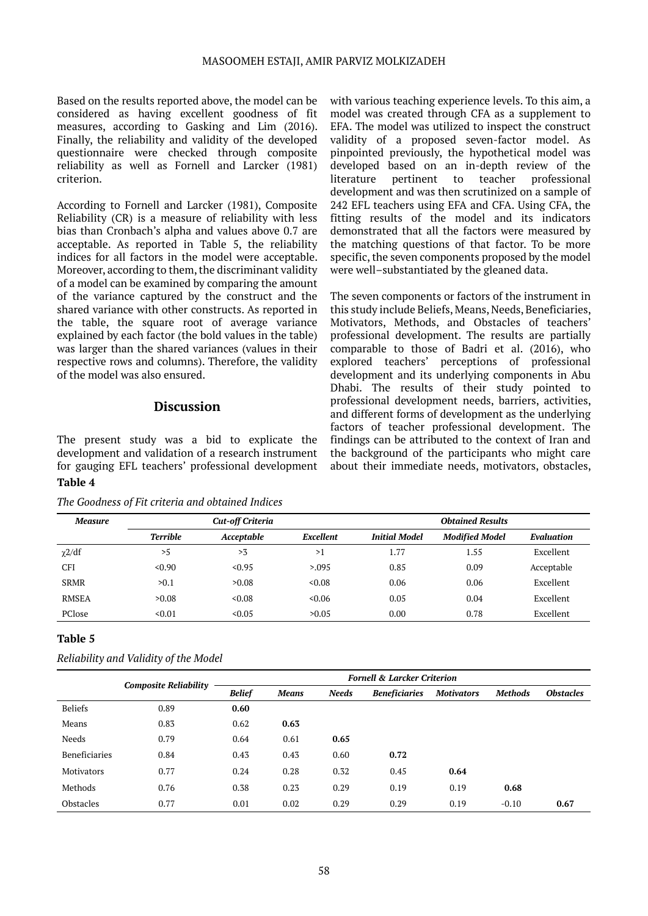Based on the results reported above, the model can be considered as having excellent goodness of fit measures, according to Gasking and Lim (2016). Finally, the reliability and validity of the developed questionnaire were checked through composite reliability as well as Fornell and Larcker (1981) criterion.

According to Fornell and Larcker (1981), Composite Reliability (CR) is a measure of reliability with less bias than Cronbach's alpha and values above 0.7 are acceptable. As reported in Table 5, the reliability indices for all factors in the model were acceptable. Moreover, according to them, the discriminant validity of a model can be examined by comparing the amount of the variance captured by the construct and the shared variance with other constructs. As reported in the table, the square root of average variance explained by each factor (the bold values in the table) was larger than the shared variances (values in their respective rows and columns). Therefore, the validity of the model was also ensured.

## **Discussion**

The present study was a bid to explicate the development and validation of a research instrument for gauging EFL teachers' professional development **Table 4**

*The Goodness of Fit criteria and obtained Indices*

with various teaching experience levels. To this aim, a model was created through CFA as a supplement to EFA. The model was utilized to inspect the construct validity of a proposed seven-factor model. As pinpointed previously, the hypothetical model was developed based on an in-depth review of the literature pertinent to teacher professional development and was then scrutinized on a sample of 242 EFL teachers using EFA and CFA. Using CFA, the fitting results of the model and its indicators demonstrated that all the factors were measured by the matching questions of that factor. To be more specific, the seven components proposed by the model were well–substantiated by the gleaned data.

The seven components or factors of the instrument in this study include Beliefs, Means, Needs, Beneficiaries, Motivators, Methods, and Obstacles of teachers' professional development. The results are partially comparable to those of Badri et al. (2016), who explored teachers' perceptions of professional development and its underlying components in Abu Dhabi. The results of their study pointed to professional development needs, barriers, activities, and different forms of development as the underlying factors of teacher professional development. The findings can be attributed to the context of Iran and the background of the participants who might care about their immediate needs, motivators, obstacles,

| <b>Measure</b> |                 | Cut-off Criteria |           | <b>Obtained Results</b> |                       |            |  |
|----------------|-----------------|------------------|-----------|-------------------------|-----------------------|------------|--|
|                | <b>Terrible</b> | Acceptable       | Excellent | <b>Initial Model</b>    | <b>Modified Model</b> | Evaluation |  |
| $\chi$ 2/df    | >5              | >3               | >1        | 1.77                    | 1.55                  | Excellent  |  |
| <b>CFI</b>     | < 0.90          | < 0.95           | > 0.095   | 0.85                    | 0.09                  | Acceptable |  |
| <b>SRMR</b>    | >0.1            | >0.08            | < 0.08    | 0.06                    | 0.06                  | Excellent  |  |
| RMSEA          | >0.08           | &0.08            | <0.06     | 0.05                    | 0.04                  | Excellent  |  |
| PClose         | < 0.01          | < 0.05           | >0.05     | 0.00                    | 0.78                  | Excellent  |  |

#### **Table 5**

| Reliability and Validity of the Model |  |  |  |
|---------------------------------------|--|--|--|
|---------------------------------------|--|--|--|

|                   |                              | <b>Fornell &amp; Larcker Criterion</b> |              |              |                      |                   |                |                  |  |  |
|-------------------|------------------------------|----------------------------------------|--------------|--------------|----------------------|-------------------|----------------|------------------|--|--|
|                   | <b>Composite Reliability</b> | <b>Belief</b>                          | <b>Means</b> | <b>Needs</b> | <b>Beneficiaries</b> | <b>Motivators</b> | <b>Methods</b> | <b>Obstacles</b> |  |  |
| <b>Beliefs</b>    | 0.89                         | 0.60                                   |              |              |                      |                   |                |                  |  |  |
| Means             | 0.83                         | 0.62                                   | 0.63         |              |                      |                   |                |                  |  |  |
| Needs             | 0.79                         | 0.64                                   | 0.61         | 0.65         |                      |                   |                |                  |  |  |
| Beneficiaries     | 0.84                         | 0.43                                   | 0.43         | 0.60         | 0.72                 |                   |                |                  |  |  |
| <b>Motivators</b> | 0.77                         | 0.24                                   | 0.28         | 0.32         | 0.45                 | 0.64              |                |                  |  |  |
| Methods           | 0.76                         | 0.38                                   | 0.23         | 0.29         | 0.19                 | 0.19              | 0.68           |                  |  |  |
| <b>Obstacles</b>  | 0.77                         | 0.01                                   | 0.02         | 0.29         | 0.29                 | 0.19              | $-0.10$        | 0.67             |  |  |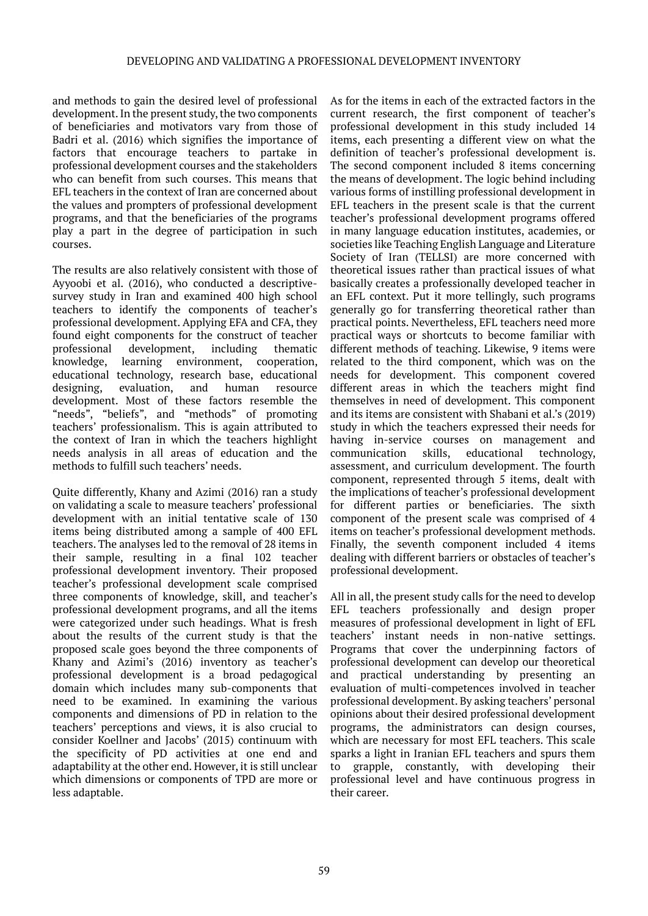and methods to gain the desired level of professional development. In the present study, the two components of beneficiaries and motivators vary from those of Badri et al. (2016) which signifies the importance of factors that encourage teachers to partake in professional development courses and the stakeholders who can benefit from such courses. This means that EFL teachers in the context of Iran are concerned about the values and prompters of professional development programs, and that the beneficiaries of the programs play a part in the degree of participation in such courses.

The results are also relatively consistent with those of Ayyoobi et al. (2016), who conducted a descriptivesurvey study in Iran and examined 400 high school teachers to identify the components of teacher's professional development. Applying EFA and CFA, they found eight components for the construct of teacher professional development, including thematic knowledge, learning environment, cooperation, educational technology, research base, educational designing, evaluation, and human resource development. Most of these factors resemble the "needs", "beliefs", and "methods" of promoting teachers' professionalism. This is again attributed to the context of Iran in which the teachers highlight needs analysis in all areas of education and the methods to fulfill such teachers' needs.

Quite differently, Khany and Azimi (2016) ran a study on validating a scale to measure teachers' professional development with an initial tentative scale of 130 items being distributed among a sample of 400 EFL teachers. The analyses led to the removal of 28 items in their sample, resulting in a final 102 teacher professional development inventory. Their proposed teacher's professional development scale comprised three components of knowledge, skill, and teacher's professional development programs, and all the items were categorized under such headings. What is fresh about the results of the current study is that the proposed scale goes beyond the three components of Khany and Azimi's (2016) inventory as teacher's professional development is a broad pedagogical domain which includes many sub-components that need to be examined. In examining the various components and dimensions of PD in relation to the teachers' perceptions and views, it is also crucial to consider Koellner and Jacobs' (2015) continuum with the specificity of PD activities at one end and adaptability at the other end. However, it is still unclear which dimensions or components of TPD are more or less adaptable.

As for the items in each of the extracted factors in the current research, the first component of teacher's professional development in this study included 14 items, each presenting a different view on what the definition of teacher's professional development is. The second component included 8 items concerning the means of development. The logic behind including various forms of instilling professional development in EFL teachers in the present scale is that the current teacher's professional development programs offered in many language education institutes, academies, or societies like Teaching English Language and Literature Society of Iran (TELLSI) are more concerned with theoretical issues rather than practical issues of what basically creates a professionally developed teacher in an EFL context. Put it more tellingly, such programs generally go for transferring theoretical rather than practical points. Nevertheless, EFL teachers need more practical ways or shortcuts to become familiar with different methods of teaching. Likewise, 9 items were related to the third component, which was on the needs for development. This component covered different areas in which the teachers might find themselves in need of development. This component and its items are consistent with Shabani et al.'s (2019) study in which the teachers expressed their needs for having in-service courses on management and<br>communication skills, educational technology, communication skills, educational technology, assessment, and curriculum development. The fourth component, represented through 5 items, dealt with the implications of teacher's professional development for different parties or beneficiaries. The sixth component of the present scale was comprised of 4 items on teacher's professional development methods. Finally, the seventh component included 4 items dealing with different barriers or obstacles of teacher's professional development.

All in all, the present study calls for the need to develop EFL teachers professionally and design proper measures of professional development in light of EFL teachers' instant needs in non-native settings. Programs that cover the underpinning factors of professional development can develop our theoretical and practical understanding by presenting an evaluation of multi-competences involved in teacher professional development. By asking teachers' personal opinions about their desired professional development programs, the administrators can design courses, which are necessary for most EFL teachers. This scale sparks a light in Iranian EFL teachers and spurs them to grapple, constantly, with developing their professional level and have continuous progress in their career.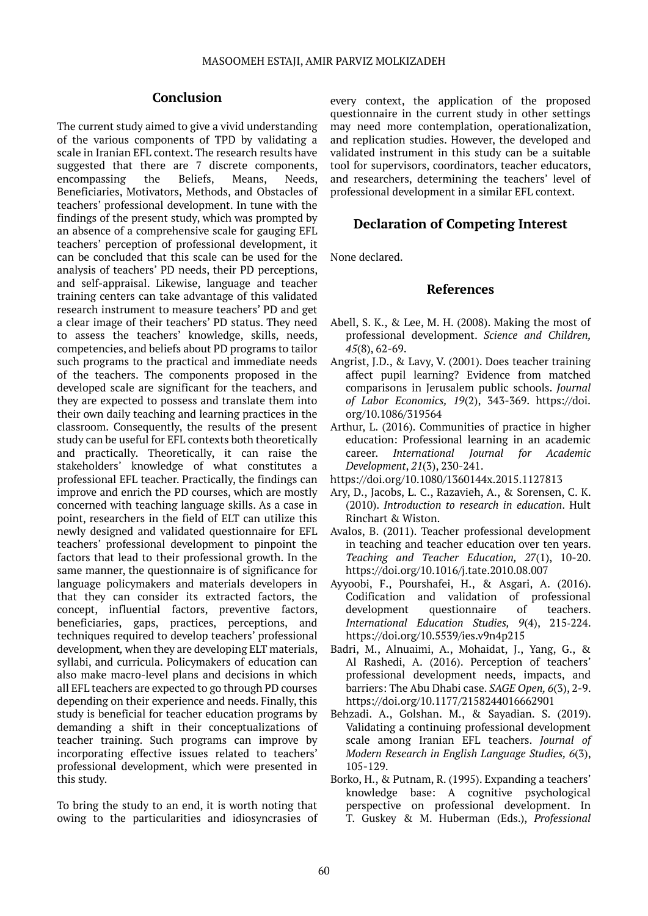#### **Conclusion**

The current study aimed to give a vivid understanding of the various components of TPD by validating a scale in Iranian EFL context. The research results have suggested that there are 7 discrete components, encompassing the Beliefs, Means, Needs, Beneficiaries, Motivators, Methods, and Obstacles of teachers' professional development. In tune with the findings of the present study, which was prompted by an absence of a comprehensive scale for gauging EFL teachers' perception of professional development, it can be concluded that this scale can be used for the analysis of teachers' PD needs, their PD perceptions, and self-appraisal. Likewise, language and teacher training centers can take advantage of this validated research instrument to measure teachers' PD and get a clear image of their teachers' PD status. They need to assess the teachers' knowledge, skills, needs, competencies, and beliefs about PD programs to tailor such programs to the practical and immediate needs of the teachers. The components proposed in the developed scale are significant for the teachers, and they are expected to possess and translate them into their own daily teaching and learning practices in the classroom. Consequently, the results of the present study can be useful for EFL contexts both theoretically and practically. Theoretically, it can raise the stakeholders' knowledge of what constitutes a professional EFL teacher. Practically, the findings can improve and enrich the PD courses, which are mostly concerned with teaching language skills. As a case in point, researchers in the field of ELT can utilize this newly designed and validated questionnaire for EFL teachers' professional development to pinpoint the factors that lead to their professional growth. In the same manner, the questionnaire is of significance for language policymakers and materials developers in that they can consider its extracted factors, the concept, influential factors, preventive factors, beneficiaries, gaps, practices, perceptions, and techniques required to develop teachers' professional development*,* when they are developing ELT materials, syllabi, and curricula. Policymakers of education can also make macro-level plans and decisions in which all EFL teachers are expected to go through PD courses depending on their experience and needs. Finally, this study is beneficial for teacher education programs by demanding a shift in their conceptualizations of teacher training. Such programs can improve by incorporating effective issues related to teachers' professional development, which were presented in this study.

To bring the study to an end, it is worth noting that owing to the particularities and idiosyncrasies of

every context, the application of the proposed questionnaire in the current study in other settings may need more contemplation, operationalization, and replication studies. However, the developed and validated instrument in this study can be a suitable tool for supervisors, coordinators, teacher educators, and researchers, determining the teachers' level of professional development in a similar EFL context.

## **Declaration of Competing Interest**

None declared.

#### **References**

- Abell, S. K., & Lee, M. H. (2008). Making the most of professional development. *Science and Children, 45*(8), 62-69.
- Angrist, J.D., & Lavy, V. (2001). Does teacher training affect pupil learning? Evidence from matched comparisons in Jerusalem public schools. *Journal of Labor Economics, 19*(2), 343-369. https://doi. org/10.1086/319564
- Arthur, L. (2016). Communities of practice in higher education: Professional learning in an academic career. *International Journal for Academic Development*, *21*(3), 230-241.
- https://doi.org/10.1080/1360144x.2015.1127813
- Ary, D., Jacobs, L. C., Razavieh, A., & Sorensen, C. K. (2010). *Introduction to research in education*. Hult Rinchart & Wiston.
- Avalos, B. (2011). Teacher professional development in teaching and teacher education over ten years. *Teaching and Teacher Education, 27*(1), 10-20. https://doi.org/10.1016/j.tate.2010.08.007
- Ayyoobi, F., Pourshafei, H., & Asgari, A. (2016). Codification and validation of professional development questionnaire of teachers. *International Education Studies, 9*(4), 215-224. https://doi.org/10.5539/ies.v9n4p215
- Badri, M., Alnuaimi, A., Mohaidat, J., Yang, G., & Al Rashedi, A. (2016). Perception of teachers' professional development needs, impacts, and barriers: The Abu Dhabi case. *SAGE Open, 6*(3), 2-9. https://doi.org/10.1177/2158244016662901
- Behzadi. A., Golshan. M., & Sayadian. S. (2019). Validating a continuing professional development scale among Iranian EFL teachers. *Journal of Modern Research in English Language Studies, 6*(3), 105-129.
- Borko, H., & Putnam, R. (1995). Expanding a teachers' knowledge base: A cognitive psychological perspective on professional development. In T. Guskey & M. Huberman (Eds.), *Professional*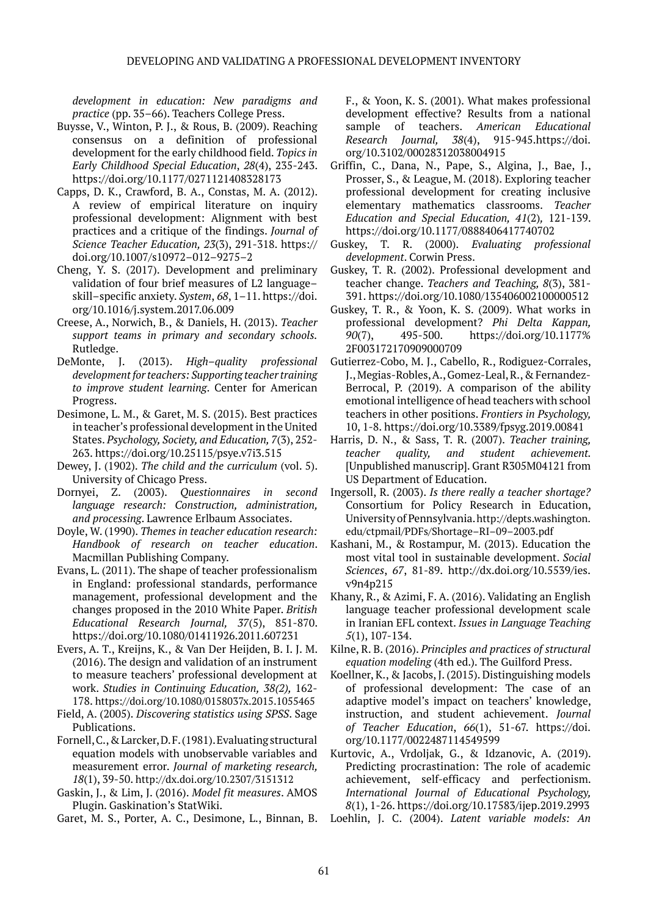*development in education: New paradigms and practice* (pp. 35–66). Teachers College Press.

- Buysse, V., Winton, P. J., & Rous, B. (2009). Reaching consensus on a definition of professional development for the early childhood field. *Topics in Early Childhood Special Education*, *28*(4), 235-243. https://doi.org/10.1177/0271121408328173
- Capps, D. K., Crawford, B. A., Constas, M. A. (2012). A review of empirical literature on inquiry professional development: Alignment with best practices and a critique of the findings. *Journal of Science Teacher Education, 23*(3), 291-318. https:// doi.org/10.1007/s10972–012–9275–2
- Cheng, Y. S. (2017). Development and preliminary validation of four brief measures of L2 language– skill–specific anxiety. *System*, *68*, 1–11. https://doi. org/10.1016/j.system.2017.06.009
- Creese, A., Norwich, B., & Daniels, H. (2013). *Teacher support teams in primary and secondary schools.* Rutledge.
- DeMonte, J. (2013). *High–quality professional development for teachers: Supporting teacher training to improve student learning*. Center for American Progress.
- Desimone, L. M., & Garet, M. S. (2015). Best practices in teacher's professional development in the United States. *Psychology, Society, and Education, 7*(3), 252- 263. https://doi.org/10.25115/psye.v7i3.515
- Dewey, J. (1902). *The child and the curriculum* (vol. 5). University of Chicago Press.
- Dornyei, Z. (2003). *Questionnaires in second language research: Construction, administration, and processing*. Lawrence Erlbaum Associates.
- Doyle, W. (1990). *Themes in teacher education research: Handbook of research on teacher education*. Macmillan Publishing Company.
- Evans, L. (2011). The shape of teacher professionalism in England: professional standards, performance management, professional development and the changes proposed in the 2010 White Paper. *British Educational Research Journal, 37*(5), 851-870. https://doi.org/10.1080/01411926.2011.607231
- Evers, A. T., Kreijns, K., & Van Der Heijden, B. I. J. M. (2016). The design and validation of an instrument to measure teachers' professional development at work. *Studies in Continuing Education, 38(2),* 162- 178. <https://doi.org/10.1080/0158037x.2015.1055465>
- Field, A. (2005). *Discovering statistics using SPSS*. Sage Publications.
- Fornell, C., & Larcker, D. F. (1981). Evaluating structural equation models with unobservable variables and measurement error. *Journal of marketing research, 18*(1), 39-50. <http://dx.doi.org/10.2307/3151312>
- Gaskin, J., & Lim, J. (2016). *Model fit measures*. AMOS Plugin. Gaskination's StatWiki.

Garet, M. S., Porter, A. C., Desimone, L., Binnan, B.

F., & Yoon, K. S. (2001). What makes professional development effective? Results from a national sample of teachers. *American Educational Research Journal, 38*(4), 915-945.https://doi. org/10.3102/00028312038004915

- Griffin, C., Dana, N., Pape, S., Algina, J., Bae, J., Prosser, S., & League, M. (2018). Exploring teacher professional development for creating inclusive elementary mathematics classrooms. *Teacher Education and Special Education, 41*(2)*,* 121-139. https://doi.org/10.1177/0888406417740702
- Guskey, T. R. (2000). *Evaluating professional development*. Corwin Press.
- Guskey, T. R. (2002). Professional development and teacher change. *Teachers and Teaching, 8*(3), 381- 391. https://doi.org/10.1080/135406002100000512
- Guskey, T. R., & Yoon, K. S. (2009). What works in professional development? *Phi Delta Kappan, 90*(7), 495-500. https://doi.org/10.1177% 2F003172170909000709
- Gutierrez-Cobo, M. J., Cabello, R., Rodiguez-Corrales, J., Megias-Robles, A., Gomez-Leal, R., & Fernandez-Berrocal, P. (2019). A comparison of the ability emotional intelligence of head teachers with school teachers in other positions. *Frontiers in Psychology,*  10, 1-8. https://doi.org/10.3389/fpsyg.2019.00841
- Harris, D. N., & Sass, T. R. (2007). *Teacher training, teacher quality, and student achievement.*  [Unpublished manuscrip]. Grant R305M04121 from US Department of Education.
- Ingersoll, R. (2003). *Is there really a teacher shortage?*  Consortium for Policy Research in Education, University of Pennsylvania. [http://depts.washington.](http://depts.washington.edu/ctpmail/PDFs/Shortage-RI-09-2003.pdf) [edu/ctpmail/PDFs/Shortage–RI–09–2003.pdf](http://depts.washington.edu/ctpmail/PDFs/Shortage-RI-09-2003.pdf)
- Kashani, M., & Rostampur, M. (2013). Education the most vital tool in sustainable development. *Social Sciences*, *67*, 81-89. http://dx.doi.org/10.5539/ies. v9n4p215
- Khany, R., & Azimi, F. A. (2016). Validating an English language teacher professional development scale in Iranian EFL context. *Issues in Language Teaching 5*(1), 107-134.
- Kilne, R. B. (2016). *Principles and practices of structural equation modeling* (4th ed.). The Guilford Press.
- Koellner, K., & Jacobs, J. (2015). Distinguishing models of professional development: The case of an adaptive model's impact on teachers' knowledge, instruction, and student achievement. *Journal of Teacher Education*, *66*(1), 51-67. https://doi. org/10.1177/0022487114549599
- Kurtovic, A., Vrdoljak, G., & Idzanovic, A. (2019). Predicting procrastination: The role of academic achievement, self-efficacy and perfectionism. *International Journal of Educational Psychology, 8*(1), 1-26. https://doi.org/10.17583/ijep.2019.2993
- Loehlin, J. C. (2004). *Latent variable models: An*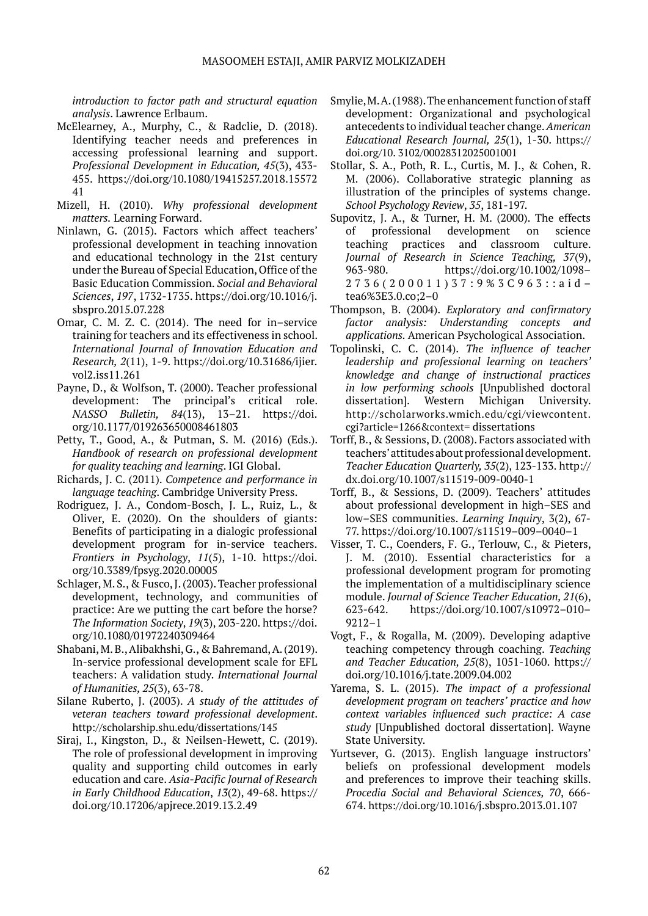*introduction to factor path and structural equation analysis*. Lawrence Erlbaum.

- McElearney, A., Murphy, C., & Radclie, D. (2018). Identifying teacher needs and preferences in accessing professional learning and support. *Professional Development in Education, 45*(3), 433- 455. https://doi.org/10.1080/19415257.2018.15572 41
- Mizell, H. (2010). *Why professional development matters.* Learning Forward.
- Ninlawn, G. (2015). Factors which affect teachers' professional development in teaching innovation and educational technology in the 21st century under the Bureau of Special Education, Office of the Basic Education Commission. *Social and Behavioral Sciences*, *197*, 1732-1735. https://doi.org/10.1016/j. sbspro.2015.07.228
- Omar, C. M. Z. C. (2014). The need for in–service training for teachers and its effectiveness in school. *International Journal of Innovation Education and Research, 2*(11), 1-9. https://doi.org/10.31686/ijier. vol2.iss11.261
- Payne, D., & Wolfson, T. (2000). Teacher professional development: The principal's critical role. *NASSO Bulletin, 84*(13), 13–21. https://doi. org/10.1177/019263650008461803
- Petty, T., Good, A., & Putman, S. M. (2016) (Eds.). *Handbook of research on professional development for quality teaching and learning*. IGI Global.
- Richards, J. C. (2011). *Competence and performance in language teaching*. Cambridge University Press.
- Rodriguez, J. A., Condom-Bosch, J. L., Ruiz, L., & Oliver, E. (2020). On the shoulders of giants: Benefits of participating in a dialogic professional development program for in-service teachers. *Frontiers in Psychology*, *11*(5), 1-10. https://doi. org/10.3389/fpsyg.2020.00005
- Schlager, M. S., & Fusco, J. (2003). Teacher professional development, technology, and communities of practice: Are we putting the cart before the horse? *The Information Society*, *19*(3), 203-220. https://doi. org/10.1080/01972240309464
- Shabani, M. B., Alibakhshi, G., & Bahremand, A. (2019). In-service professional development scale for EFL teachers: A validation study. *International Journal of Humanities, 25*(3), 63-78.
- Silane Ruberto, J. (2003). *A study of the attitudes of veteran teachers toward professional development*. <http://scholarship.shu.edu/dissertations/145>
- Siraj, I., Kingston, D., & Neilsen-Hewett, C. (2019). The role of professional development in improving quality and supporting child outcomes in early education and care. *Asia-Pacific Journal of Research in Early Childhood Education*, *13*(2), 49-68. https:// doi.org/10.17206/apjrece.2019.13.2.49
- Smylie, M. A. (1988). The enhancement function of staff development: Organizational and psychological antecedents to individual teacher change. *American Educational Research Journal, 25*(1), 1-30. [https://](https://doi.org/10.%203102/00028312025001001) [doi.org/10. 3102/00028312025001001](https://doi.org/10.%203102/00028312025001001)
- Stollar, S. A., Poth, R. L., Curtis, M. J., & Cohen, R. M. (2006). Collaborative strategic planning as illustration of the principles of systems change. *School Psychology Review*, *35*, 181-197.
- Supovitz, J. A., & Turner, H. M. (2000). The effects of professional development on science teaching practices and classroom culture. *Journal of Research in Science Teaching, 37*(9), 963-980. https://doi.org/10.1002/1098– 2736(200011)37:9%3C963::aid– tea6%3E3.0.co;2–0
- Thompson, B. (2004). *Exploratory and confirmatory factor analysis: Understanding concepts and applications.* American Psychological Association.
- Topolinski, C. C. (2014). *The influence of teacher leadership and professional learning on teachers' knowledge and change of instructional practices in low performing schools* [Unpublished doctoral dissertation]. Western Michigan University. [http://scholarworks.wmich.edu/cgi/viewcontent.](http://scholarworks.wmich.edu/cgi/viewcontent.cgi?article=1266&context) [cgi?article=1266&context=](http://scholarworks.wmich.edu/cgi/viewcontent.cgi?article=1266&context) dissertations
- Torff, B., & Sessions, D. (2008). Factors associated with teachers' attitudes about professional development. *Teacher Education Quarterly, 35*(2), 123-133. http:// dx.doi.org/10.1007/s11519-009-0040-1
- Torff, B., & Sessions, D. (2009). Teachers' attitudes about professional development in high–SES and low–SES communities. *Learning Inquiry*, 3(2), 67- 77. https://doi.org/10.1007/s11519–009–0040–1
- Visser, T. C., Coenders, F. G., Terlouw, C., & Pieters, J. M. (2010). Essential characteristics for a professional development program for promoting the implementation of a multidisciplinary science module. *Journal of Science Teacher Education, 21*(6), 623-642. https://doi.org/10.1007/s10972–010– 9212–1
- Vogt, F., & Rogalla, M. (2009). Developing adaptive teaching competency through coaching. *Teaching and Teacher Education, 25*(8), 1051-1060. https:// doi.org/10.1016/j.tate.2009.04.002
- Yarema, S. L. (2015). *The impact of a professional development program on teachers' practice and how context variables influenced such practice: A case study* [Unpublished doctoral dissertation]. Wayne State University.
- Yurtsever, G. (2013). English language instructors' beliefs on professional development models and preferences to improve their teaching skills. *Procedia Social and Behavioral Sciences, 70*, 666- 674. <https://doi.org/10.1016/>j.sbspro.2013.01.107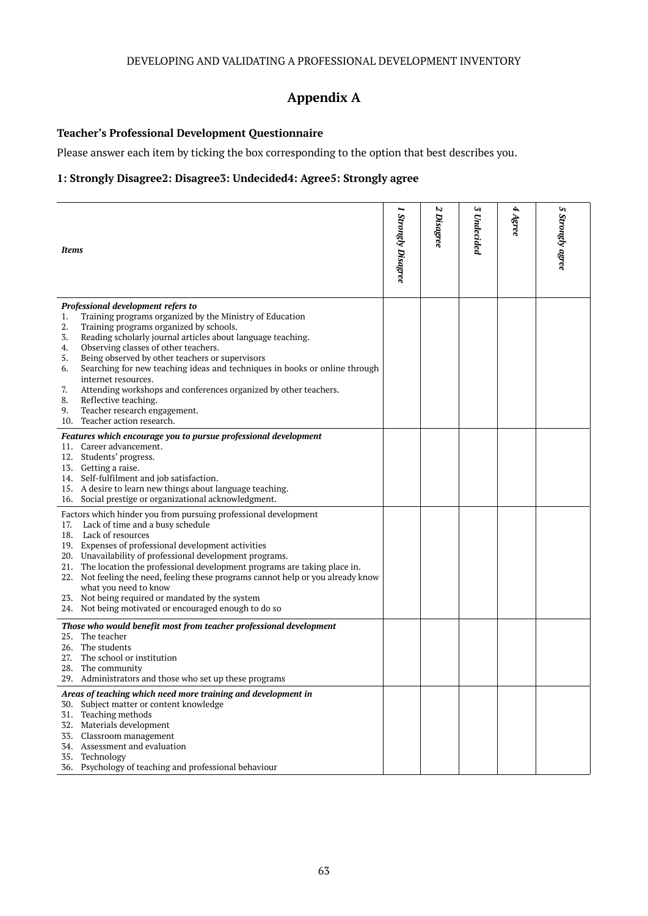# **Appendix A**

#### **Teacher's Professional Development Questionnaire**

Please answer each item by ticking the box corresponding to the option that best describes you.

#### **1: Strongly Disagree2: Disagree3: Undecided4: Agree5: Strongly agree**

| <b>Items</b>                                                                                                                                                                                                                                                                                                                                                                                                                                                                                                                                                                                                               | 1 Strongly Disagree | N<br><b>Disagree</b> | W<br>Undecided | 4 Agree | n<br><b>Strongly agree</b> |
|----------------------------------------------------------------------------------------------------------------------------------------------------------------------------------------------------------------------------------------------------------------------------------------------------------------------------------------------------------------------------------------------------------------------------------------------------------------------------------------------------------------------------------------------------------------------------------------------------------------------------|---------------------|----------------------|----------------|---------|----------------------------|
| Professional development refers to<br>Training programs organized by the Ministry of Education<br>1.<br>Training programs organized by schools.<br>2.<br>3.<br>Reading scholarly journal articles about language teaching.<br>Observing classes of other teachers.<br>4.<br>5.<br>Being observed by other teachers or supervisors<br>Searching for new teaching ideas and techniques in books or online through<br>6.<br>internet resources.<br>Attending workshops and conferences organized by other teachers.<br>7.<br>8.<br>Reflective teaching.<br>Teacher research engagement.<br>9.<br>10. Teacher action research. |                     |                      |                |         |                            |
| Features which encourage you to pursue professional development<br>11. Career advancement.<br>12. Students' progress.<br>13. Getting a raise.<br>14. Self-fulfilment and job satisfaction.<br>15. A desire to learn new things about language teaching.<br>16. Social prestige or organizational acknowledgment.                                                                                                                                                                                                                                                                                                           |                     |                      |                |         |                            |
| Factors which hinder you from pursuing professional development<br>17. Lack of time and a busy schedule<br>18. Lack of resources<br>19. Expenses of professional development activities<br>20. Unavailability of professional development programs.<br>21. The location the professional development programs are taking place in.<br>22. Not feeling the need, feeling these programs cannot help or you already know<br>what you need to know<br>23. Not being required or mandated by the system<br>24. Not being motivated or encouraged enough to do so                                                               |                     |                      |                |         |                            |
| Those who would benefit most from teacher professional development<br>25. The teacher<br>26. The students<br>27. The school or institution<br>28. The community<br>29. Administrators and those who set up these programs                                                                                                                                                                                                                                                                                                                                                                                                  |                     |                      |                |         |                            |
| Areas of teaching which need more training and development in<br>Subject matter or content knowledge<br>30.<br>Teaching methods<br>31.<br>32. Materials development<br>33. Classroom management<br>34. Assessment and evaluation<br>35. Technology<br>36. Psychology of teaching and professional behaviour                                                                                                                                                                                                                                                                                                                |                     |                      |                |         |                            |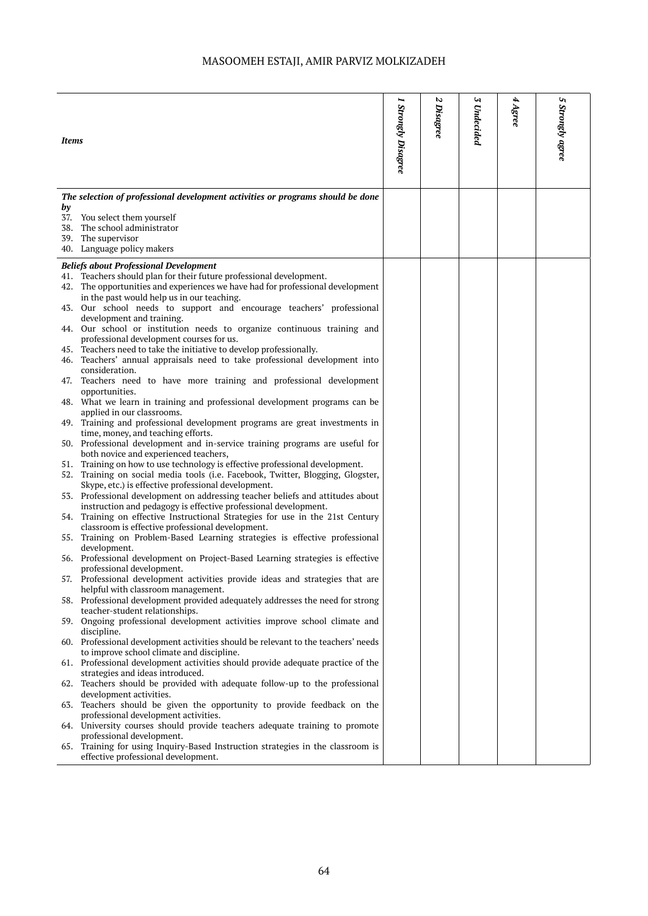| <b>Items</b> |                                                                                                                                                       | 1 Strongly Disagree | N<br><b>Disagree</b> | Z<br>Undecided | 4 Agree | Uη<br><b>Strongly agree</b> |
|--------------|-------------------------------------------------------------------------------------------------------------------------------------------------------|---------------------|----------------------|----------------|---------|-----------------------------|
| by           | The selection of professional development activities or programs should be done                                                                       |                     |                      |                |         |                             |
|              | 37. You select them yourself                                                                                                                          |                     |                      |                |         |                             |
|              | 38. The school administrator                                                                                                                          |                     |                      |                |         |                             |
|              | 39. The supervisor                                                                                                                                    |                     |                      |                |         |                             |
|              | 40. Language policy makers                                                                                                                            |                     |                      |                |         |                             |
|              | <b>Beliefs about Professional Development</b>                                                                                                         |                     |                      |                |         |                             |
|              | 41. Teachers should plan for their future professional development.<br>42. The opportunities and experiences we have had for professional development |                     |                      |                |         |                             |
|              | in the past would help us in our teaching.                                                                                                            |                     |                      |                |         |                             |
|              | 43. Our school needs to support and encourage teachers' professional                                                                                  |                     |                      |                |         |                             |
|              | development and training.                                                                                                                             |                     |                      |                |         |                             |
|              | 44. Our school or institution needs to organize continuous training and                                                                               |                     |                      |                |         |                             |
|              | professional development courses for us.<br>45. Teachers need to take the initiative to develop professionally.                                       |                     |                      |                |         |                             |
|              | 46. Teachers' annual appraisals need to take professional development into                                                                            |                     |                      |                |         |                             |
|              | consideration.                                                                                                                                        |                     |                      |                |         |                             |
|              | 47. Teachers need to have more training and professional development                                                                                  |                     |                      |                |         |                             |
|              | opportunities.                                                                                                                                        |                     |                      |                |         |                             |
|              | 48. What we learn in training and professional development programs can be<br>applied in our classrooms.                                              |                     |                      |                |         |                             |
|              | 49. Training and professional development programs are great investments in                                                                           |                     |                      |                |         |                             |
|              | time, money, and teaching efforts.                                                                                                                    |                     |                      |                |         |                             |
|              | 50. Professional development and in-service training programs are useful for                                                                          |                     |                      |                |         |                             |
|              | both novice and experienced teachers,<br>51. Training on how to use technology is effective professional development.                                 |                     |                      |                |         |                             |
|              | 52. Training on social media tools (i.e. Facebook, Twitter, Blogging, Glogster,                                                                       |                     |                      |                |         |                             |
|              | Skype, etc.) is effective professional development.                                                                                                   |                     |                      |                |         |                             |
|              | 53. Professional development on addressing teacher beliefs and attitudes about                                                                        |                     |                      |                |         |                             |
|              | instruction and pedagogy is effective professional development.                                                                                       |                     |                      |                |         |                             |
|              | 54. Training on effective Instructional Strategies for use in the 21st Century<br>classroom is effective professional development.                    |                     |                      |                |         |                             |
|              | 55. Training on Problem-Based Learning strategies is effective professional                                                                           |                     |                      |                |         |                             |
|              | development.                                                                                                                                          |                     |                      |                |         |                             |
|              | 56. Professional development on Project-Based Learning strategies is effective                                                                        |                     |                      |                |         |                             |
| 57.          | professional development.<br>Professional development activities provide ideas and strategies that are                                                |                     |                      |                |         |                             |
|              | helpful with classroom management.                                                                                                                    |                     |                      |                |         |                             |
|              | 58. Professional development provided adequately addresses the need for strong                                                                        |                     |                      |                |         |                             |
|              | teacher-student relationships.                                                                                                                        |                     |                      |                |         |                             |
|              | 59. Ongoing professional development activities improve school climate and<br>discipline.                                                             |                     |                      |                |         |                             |
|              | 60. Professional development activities should be relevant to the teachers' needs                                                                     |                     |                      |                |         |                             |
|              | to improve school climate and discipline.                                                                                                             |                     |                      |                |         |                             |
|              | 61. Professional development activities should provide adequate practice of the                                                                       |                     |                      |                |         |                             |
| 62.          | strategies and ideas introduced.<br>Teachers should be provided with adequate follow-up to the professional                                           |                     |                      |                |         |                             |
|              | development activities.                                                                                                                               |                     |                      |                |         |                             |
| 63.          | Teachers should be given the opportunity to provide feedback on the                                                                                   |                     |                      |                |         |                             |
|              | professional development activities.                                                                                                                  |                     |                      |                |         |                             |
|              | 64. University courses should provide teachers adequate training to promote                                                                           |                     |                      |                |         |                             |
|              | professional development.<br>65. Training for using Inquiry-Based Instruction strategies in the classroom is                                          |                     |                      |                |         |                             |
|              | effective professional development.                                                                                                                   |                     |                      |                |         |                             |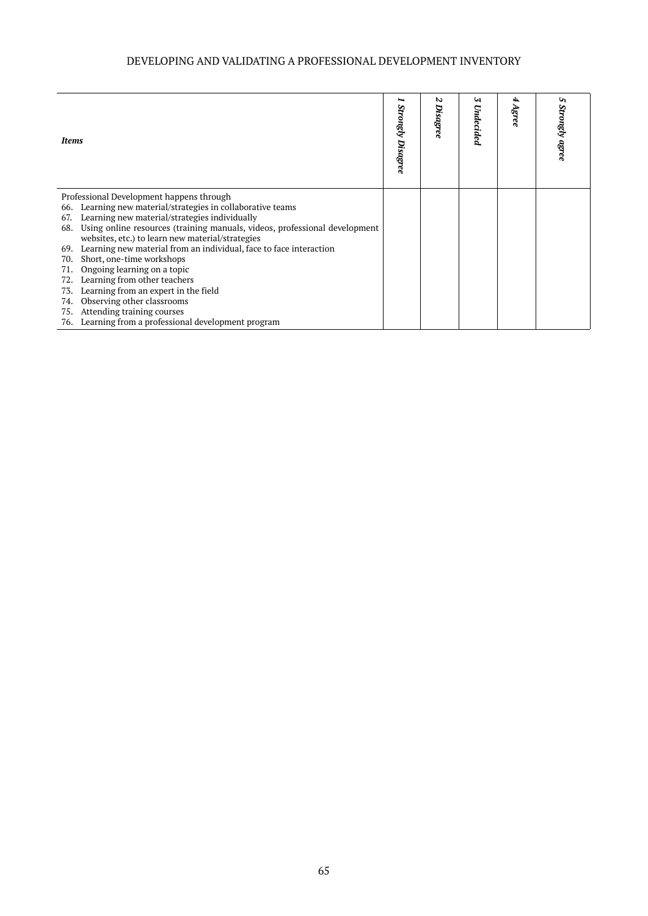# DEVELOPING AND VALIDATING A PROFESSIONAL DEVELOPMENT INVENTORY

| <b>Items</b>                                                                                                                                                                                                                                                                                                                                                                                                                                                                                                                                                                                                                                                                                  | <b>Strongly Disagree</b> | N<br>Disagree | W<br>Undecided | Agree | ৸<br>Strongly agree |
|-----------------------------------------------------------------------------------------------------------------------------------------------------------------------------------------------------------------------------------------------------------------------------------------------------------------------------------------------------------------------------------------------------------------------------------------------------------------------------------------------------------------------------------------------------------------------------------------------------------------------------------------------------------------------------------------------|--------------------------|---------------|----------------|-------|---------------------|
| Professional Development happens through<br>Learning new material/strategies in collaborative teams<br>66.<br>Learning new material/strategies individually<br>67.<br>Using online resources (training manuals, videos, professional development<br>68.<br>websites, etc.) to learn new material/strategies<br>Learning new material from an individual, face to face interaction<br>69.<br>Short, one-time workshops<br>70.<br>Ongoing learning on a topic<br>71.<br>Learning from other teachers<br>72.<br>Learning from an expert in the field<br>73.<br>Observing other classrooms<br>74.<br>Attending training courses<br>75.<br>Learning from a professional development program<br>76. |                          |               |                |       |                     |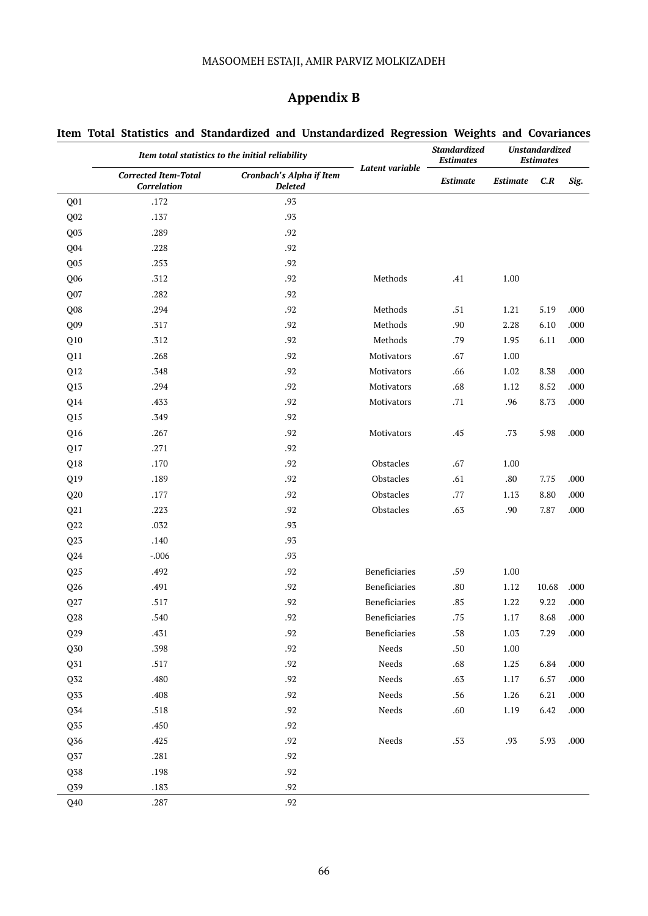# MASOOMEH ESTAJI, AMIR PARVIZ MOLKIZADEH

# **Appendix B**

|                          |                                                   | Item total statistics to the initial reliability  | Latent variable | Standardized<br><b>Estimates</b> | <b>Unstandardized</b><br><b>Estimates</b> |       |        |  |
|--------------------------|---------------------------------------------------|---------------------------------------------------|-----------------|----------------------------------|-------------------------------------------|-------|--------|--|
|                          | <b>Corrected Item-Total</b><br><b>Correlation</b> | <b>Cronbach's Alpha if Item</b><br><b>Deleted</b> |                 | Estimate                         | <b>Estimate</b>                           | C.R   | Sig.   |  |
| Q01                      | .172                                              | .93                                               |                 |                                  |                                           |       |        |  |
| Q02                      | .137                                              | .93                                               |                 |                                  |                                           |       |        |  |
| Q03                      | .289                                              | .92                                               |                 |                                  |                                           |       |        |  |
| Q04                      | .228                                              | .92                                               |                 |                                  |                                           |       |        |  |
| Q <sub>05</sub>          | .253                                              | .92                                               |                 |                                  |                                           |       |        |  |
| Q06                      | .312                                              | .92                                               | Methods         | .41                              | 1.00                                      |       |        |  |
| Q07                      | .282                                              | .92                                               |                 |                                  |                                           |       |        |  |
| Q08                      | .294                                              | .92                                               | Methods         | .51                              | 1.21                                      | 5.19  | .000   |  |
| Q09                      | .317                                              | .92                                               | Methods         | .90                              | 2.28                                      | 6.10  | .000   |  |
| Q10                      | .312                                              | .92                                               | Methods         | .79                              | 1.95                                      | 6.11  | .000   |  |
| Q11                      | .268                                              | .92                                               | Motivators      | .67                              | 1.00                                      |       |        |  |
| Q12                      | .348                                              | .92                                               | Motivators      | .66                              | 1.02                                      | 8.38  | .000   |  |
| Q13                      | .294                                              | .92                                               | Motivators      | .68                              | 1.12                                      | 8.52  | .000   |  |
| Q14                      | .433                                              | .92                                               | Motivators      | .71                              | .96                                       | 8.73  | .000   |  |
| Q15                      | .349                                              | .92                                               |                 |                                  |                                           |       |        |  |
| Q16                      | .267                                              | .92                                               | Motivators      | .45                              | .73                                       | 5.98  | .000   |  |
| Q17                      | .271                                              | .92                                               |                 |                                  |                                           |       |        |  |
| Q18                      | .170                                              | .92                                               | Obstacles       | .67                              | 1.00                                      |       |        |  |
| Q19                      | .189                                              | .92                                               | Obstacles       | .61                              | .80                                       | 7.75  | .000   |  |
| Q20                      | .177                                              | .92                                               | Obstacles       | .77                              | 1.13                                      | 8.80  | .000   |  |
| Q21                      | .223                                              | .92                                               | Obstacles       | .63                              | .90                                       | 7.87  | .000   |  |
| $\mathbf{Q}22$           | .032                                              | .93                                               |                 |                                  |                                           |       |        |  |
| Q23                      | .140                                              | .93                                               |                 |                                  |                                           |       |        |  |
| Q24                      | $-.006$                                           | .93                                               |                 |                                  |                                           |       |        |  |
| Q25                      | .492                                              | .92                                               | Beneficiaries   | .59                              | 1.00                                      |       |        |  |
| Q26                      | .491                                              | .92                                               | Beneficiaries   | .80                              | 1.12                                      | 10.68 | .000   |  |
| Q27                      | .517                                              | .92                                               | Beneficiaries   | .85                              | 1.22                                      | 9.22  | .000   |  |
| Q28                      | .540                                              | .92                                               | Beneficiaries   | .75                              | 1.17                                      | 8.68  | .000   |  |
| Q29                      | .431                                              | .92                                               | Beneficiaries   | .58                              | 1.03                                      | 7.29  | .000   |  |
| $\mathbf{Q} \mathbf{30}$ | .398                                              | .92                                               | Needs           | $.50\,$                          | 1.00                                      |       |        |  |
| Q31                      | .517                                              | .92                                               | Needs           | .68                              | 1.25                                      | 6.84  | .000   |  |
| $\mathbb{Q}52$           | .480                                              | .92                                               | Needs           | .63                              | 1.17                                      | 6.57  | .000   |  |
| Q33                      | .408                                              | .92                                               | Needs           | .56                              | 1.26                                      | 6.21  | .000   |  |
| Q34                      | .518                                              | .92                                               | Needs           | .60                              | 1.19                                      | 6.42  | $.000$ |  |
| Q <sub>35</sub>          | .450                                              | $.92\,$                                           |                 |                                  |                                           |       |        |  |
| Q36                      | .425                                              | .92                                               | Needs           | .53                              | .93                                       | 5.93  | $.000$ |  |
| Q37                      | .281                                              | .92                                               |                 |                                  |                                           |       |        |  |
| Q38                      | .198                                              | $.92\,$                                           |                 |                                  |                                           |       |        |  |
| Q39                      | .183                                              | $.92\,$                                           |                 |                                  |                                           |       |        |  |
| Q40                      | .287                                              | .92                                               |                 |                                  |                                           |       |        |  |

# **Item Total Statistics and Standardized and Unstandardized Regression Weights and Covariances**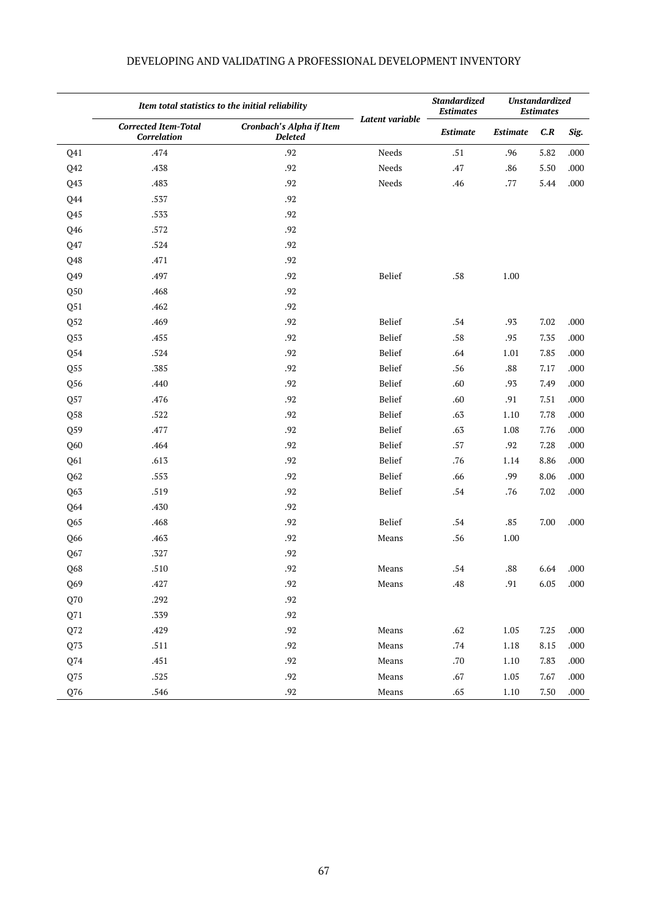|                | Item total statistics to the initial reliability  |                                            | Standardized<br><b>Estimates</b> | <b>Unstandardized</b><br><b>Estimates</b> |                 |      |      |
|----------------|---------------------------------------------------|--------------------------------------------|----------------------------------|-------------------------------------------|-----------------|------|------|
|                | <b>Corrected Item-Total</b><br><b>Correlation</b> | Cronbach's Alpha if Item<br><b>Deleted</b> | Latent variable                  | Estimate                                  | <b>Estimate</b> | C.R  | Sig. |
| Q41            | .474                                              | .92                                        | Needs                            | $.51\,$                                   | .96             | 5.82 | .000 |
| Q42            | .438                                              | .92                                        | Needs                            | .47                                       | .86             | 5.50 | .000 |
| Q43            | .483                                              | .92                                        | Needs                            | .46                                       | .77             | 5.44 | .000 |
| Q44            | .537                                              | .92                                        |                                  |                                           |                 |      |      |
| Q45            | .533                                              | .92                                        |                                  |                                           |                 |      |      |
| Q46            | .572                                              | .92                                        |                                  |                                           |                 |      |      |
| Q47            | .524                                              | .92                                        |                                  |                                           |                 |      |      |
| Q48            | .471                                              | .92                                        |                                  |                                           |                 |      |      |
| Q49            | .497                                              | .92                                        | Belief                           | .58                                       | 1.00            |      |      |
| Q50            | .468                                              | .92                                        |                                  |                                           |                 |      |      |
| Q51            | .462                                              | .92                                        |                                  |                                           |                 |      |      |
| Q52            | .469                                              | .92                                        | Belief                           | .54                                       | .93             | 7.02 | .000 |
| Q53            | .455                                              | .92                                        | Belief                           | .58                                       | .95             | 7.35 | .000 |
| Q54            | .524                                              | .92                                        | Belief                           | .64                                       | 1.01            | 7.85 | .000 |
| Q55            | .385                                              | .92                                        | Belief                           | .56                                       | .88             | 7.17 | .000 |
| Q56            | .440                                              | .92                                        | Belief                           | .60                                       | .93             | 7.49 | .000 |
| Q57            | .476                                              | .92                                        | Belief                           | .60                                       | .91             | 7.51 | .000 |
| Q58            | .522                                              | .92                                        | Belief                           | .63                                       | 1.10            | 7.78 | .000 |
| Q59            | .477                                              | .92                                        | Belief                           | .63                                       | 1.08            | 7.76 | .000 |
| Q60            | .464                                              | .92                                        | Belief                           | .57                                       | .92             | 7.28 | .000 |
| Q61            | .613                                              | .92                                        | Belief                           | .76                                       | 1.14            | 8.86 | .000 |
| Q62            | .553                                              | .92                                        | Belief                           | .66                                       | .99             | 8.06 | .000 |
| Q63            | .519                                              | .92                                        | Belief                           | $.54\,$                                   | .76             | 7.02 | .000 |
| Q64            | .430                                              | .92                                        |                                  |                                           |                 |      |      |
| Q65            | .468                                              | .92                                        | Belief                           | .54                                       | .85             | 7.00 | .000 |
| Q66            | .463                                              | .92                                        | Means                            | .56                                       | 1.00            |      |      |
| Q67            | .327                                              | .92                                        |                                  |                                           |                 |      |      |
| Q68            | .510                                              | .92                                        | Means                            | .54                                       | .88             | 6.64 | .000 |
| Q69            | .427                                              | $.92\,$                                    | Means                            | .48                                       | .91             | 6.05 | .000 |
| Q70            | .292                                              | .92                                        |                                  |                                           |                 |      |      |
| Q71            | .339                                              | $.92\,$                                    |                                  |                                           |                 |      |      |
| $\mathbf{Q72}$ | .429                                              | .92                                        | Means                            | $.62\,$                                   | 1.05            | 7.25 | .000 |
| Q73            | .511                                              | .92                                        | Means                            | $.74\,$                                   | 1.18            | 8.15 | .000 |
| Q74            | .451                                              | .92                                        | Means                            | .70                                       | 1.10            | 7.83 | .000 |
| Q75            | .525                                              | .92                                        | Means                            | $.67\,$                                   | 1.05            | 7.67 | .000 |
| Q76            | .546                                              | .92                                        | Means                            | .65                                       | 1.10            | 7.50 | .000 |